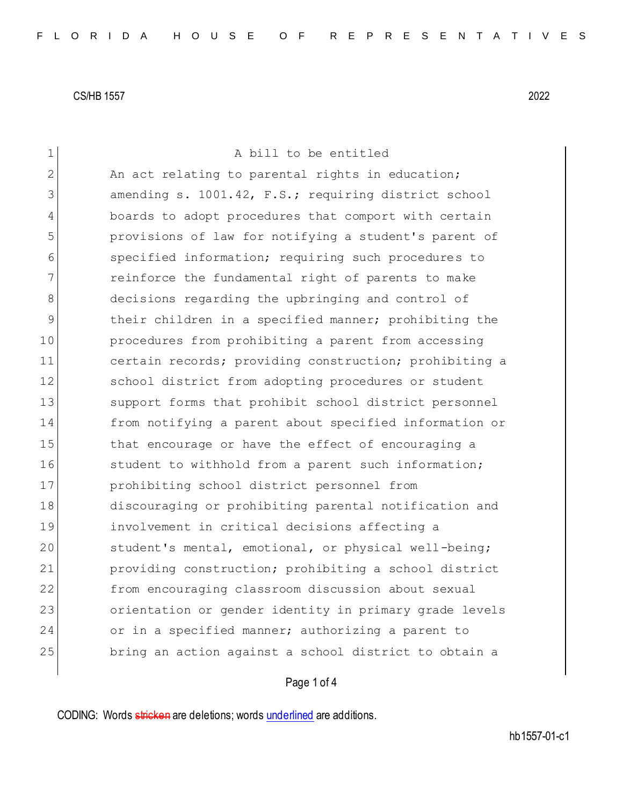1 A bill to be entitled 2 An act relating to parental rights in education; 3 amending s. 1001.42, F.S.; requiring district school 4 boards to adopt procedures that comport with certain 5 provisions of law for notifying a student's parent of 6 specified information; requiring such procedures to 7 reinforce the fundamental right of parents to make 8 decisions regarding the upbringing and control of 9 their children in a specified manner; prohibiting the 10 procedures from prohibiting a parent from accessing 11 certain records; providing construction; prohibiting a 12 School district from adopting procedures or student 13 Support forms that prohibit school district personnel 14 from notifying a parent about specified information or 15 15 that encourage or have the effect of encouraging a 16 16 student to withhold from a parent such information; 17 prohibiting school district personnel from 18 discouraging or prohibiting parental notification and 19 involvement in critical decisions affecting a 20 student's mental, emotional, or physical well-being; 21 providing construction; prohibiting a school district 22 from encouraging classroom discussion about sexual 23 orientation or gender identity in primary grade levels 24 or in a specified manner; authorizing a parent to 25 bring an action against a school district to obtain a

# Page 1 of 4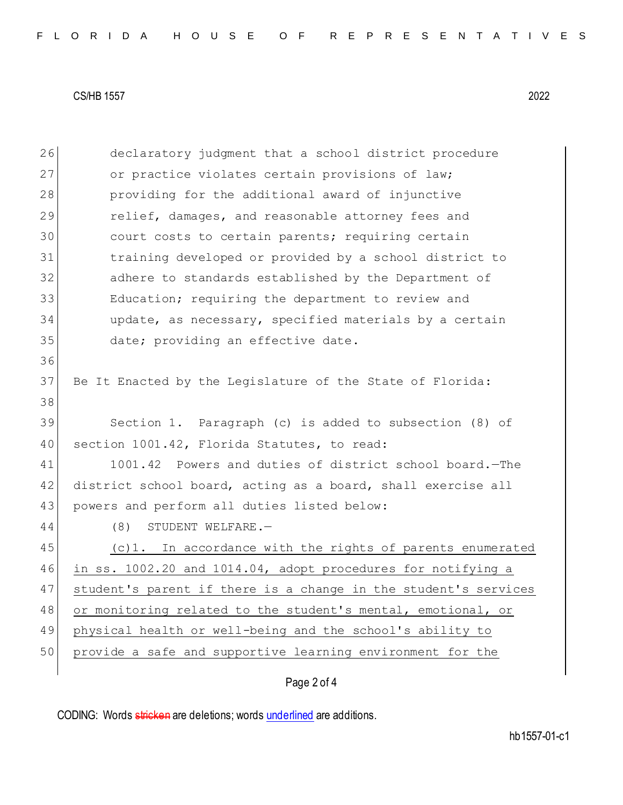26 declaratory judgment that a school district procedure 27 or practice violates certain provisions of law; 28 providing for the additional award of injunctive 29 relief, damages, and reasonable attorney fees and 30 court costs to certain parents; requiring certain 31 training developed or provided by a school district to 32 adhere to standards established by the Department of 33 Education; requiring the department to review and 34 update, as necessary, specified materials by a certain 35 date; providing an effective date. 36 37 Be It Enacted by the Legislature of the State of Florida: 38 39 Section 1. Paragraph (c) is added to subsection (8) of 40 section 1001.42, Florida Statutes, to read: 41 1001.42 Powers and duties of district school board. - The 42 district school board, acting as a board, shall exercise all 43 powers and perform all duties listed below: 44 (8) STUDENT WELFARE. 45 (c)1. In accordance with the rights of parents enumerated 46 in ss. 1002.20 and 1014.04, adopt procedures for notifying a 47 | student's parent if there is a change in the student's services 48 or monitoring related to the student's mental, emotional, or 49 physical health or well-being and the school's ability to 50 provide a safe and supportive learning environment for the

# Page 2 of 4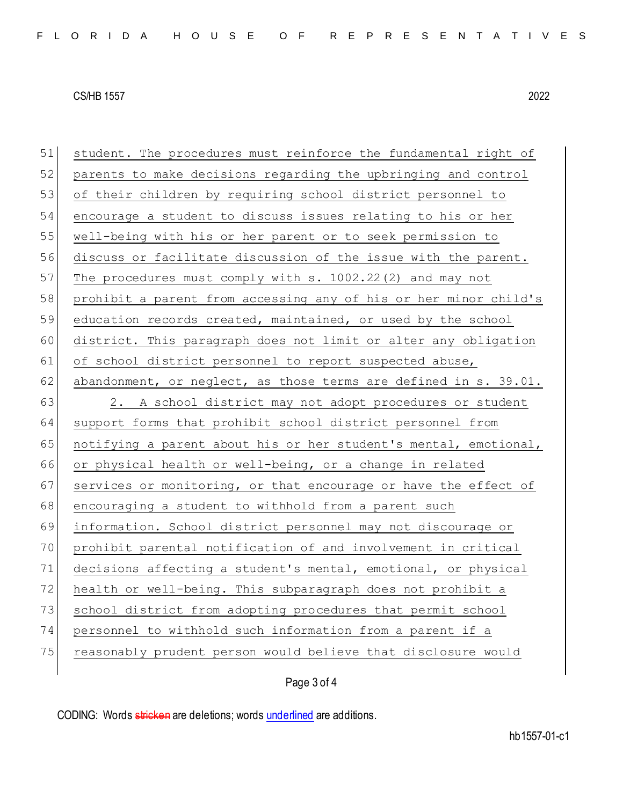| 51 | student. The procedures must reinforce the fundamental right of  |
|----|------------------------------------------------------------------|
| 52 | parents to make decisions regarding the upbringing and control   |
| 53 | of their children by requiring school district personnel to      |
| 54 | encourage a student to discuss issues relating to his or her     |
| 55 | well-being with his or her parent or to seek permission to       |
| 56 | discuss or facilitate discussion of the issue with the parent.   |
| 57 | The procedures must comply with s. 1002.22(2) and may not        |
| 58 | prohibit a parent from accessing any of his or her minor child's |
| 59 | education records created, maintained, or used by the school     |
| 60 | district. This paragraph does not limit or alter any obligation  |
| 61 | of school district personnel to report suspected abuse,          |
| 62 | abandonment, or neglect, as those terms are defined in s. 39.01. |
| 63 | 2. A school district may not adopt procedures or student         |
| 64 | support forms that prohibit school district personnel from       |
| 65 | notifying a parent about his or her student's mental, emotional, |
| 66 | or physical health or well-being, or a change in related         |
| 67 | services or monitoring, or that encourage or have the effect of  |
| 68 | encouraging a student to withhold from a parent such             |
| 69 | information. School district personnel may not discourage or     |
| 70 | prohibit parental notification of and involvement in critical    |
| 71 | decisions affecting a student's mental, emotional, or physical   |
| 72 | health or well-being. This subparagraph does not prohibit a      |
| 73 | school district from adopting procedures that permit school      |
| 74 | personnel to withhold such information from a parent if a        |
| 75 | reasonably prudent person would believe that disclosure would    |
|    |                                                                  |

# Page 3 of 4